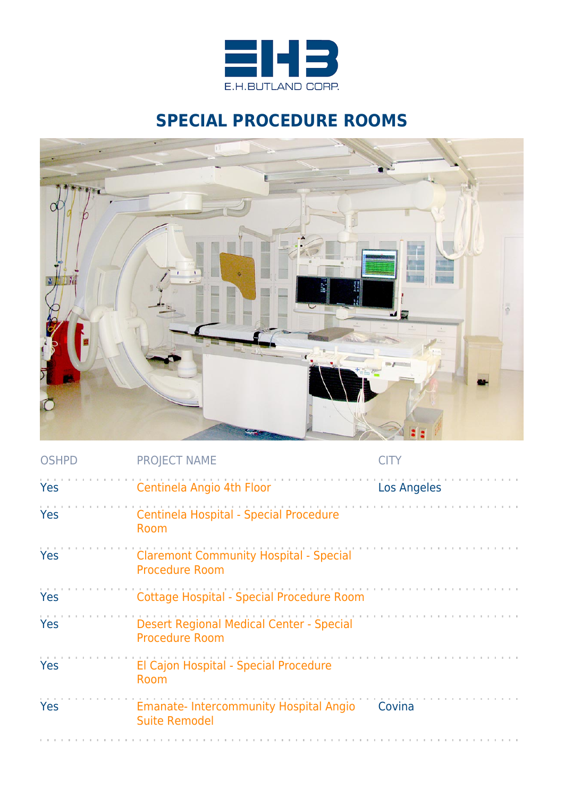

## **SPECIAL PROCEDURE ROOMS**



| <b>OSHPD</b> | <b>PROJECT NAME</b>                                                      |             |  |
|--------------|--------------------------------------------------------------------------|-------------|--|
| Yes          | Centinela Angio 4th Floor                                                | Los Angeles |  |
| Yes          | Centinela Hospital - Special Procedure<br>Room                           |             |  |
| Yes          | <b>Claremont Community Hospital - Special</b><br><b>Procedure Room</b>   |             |  |
| Yes          | Cottage Hospital - Special Procedure Room                                |             |  |
| Yes          | <b>Desert Regional Medical Center - Special</b><br><b>Procedure Room</b> |             |  |
| Yes          | El Cajon Hospital - Special Procedure<br>Room                            |             |  |
| Yes          | <b>Emanate-Intercommunity Hospital Angio</b><br><b>Suite Remodel</b>     | Covina      |  |
|              |                                                                          |             |  |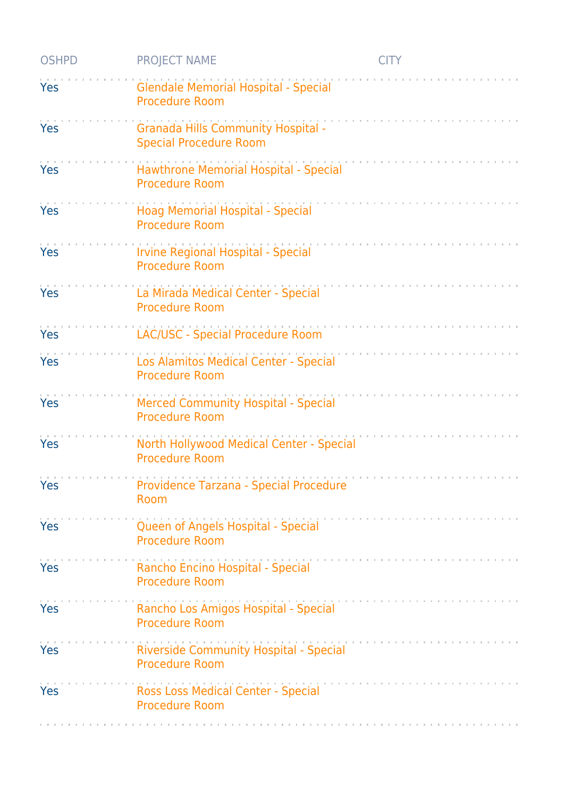| <b>OSHPD</b> | <b>PROJECT NAME</b>                                                        | <b>CITY</b> |
|--------------|----------------------------------------------------------------------------|-------------|
| Yes          | <b>Glendale Memorial Hospital - Special</b><br><b>Procedure Room</b>       |             |
| Yes          | <b>Granada Hills Community Hospital -</b><br><b>Special Procedure Room</b> |             |
| Yes          | Hawthrone Memorial Hospital - Special<br><b>Procedure Room</b>             |             |
| Yes          | Hoag Memorial Hospital - Special<br><b>Procedure Room</b>                  |             |
| Yes          | Irvine Regional Hospital - Special<br><b>Procedure Room</b>                |             |
| <b>Yes</b>   | La Mirada Medical Center - Special<br><b>Procedure Room</b>                |             |
| Yes          | LAC/USC - Special Procedure Room                                           |             |
| Yes          | Los Alamitos Medical Center - Special<br><b>Procedure Room</b>             |             |
| Yes          | <b>Merced Community Hospital - Special</b><br><b>Procedure Room</b>        |             |
| Yes          | North Hollywood Medical Center - Special<br><b>Procedure Room</b>          |             |
| <b>Yes</b>   | Providence Tarzana - Special Procedure<br>Room                             |             |
| Yes          | Queen of Angels Hospital - Special<br><b>Procedure Room</b>                |             |
| Yes          | Rancho Encino Hospital - Special<br><b>Procedure Room</b>                  |             |
| Yes          | Rancho Los Amigos Hospital - Special<br><b>Procedure Room</b>              |             |
| <b>Yes</b>   | <b>Riverside Community Hospital - Special</b><br><b>Procedure Room</b>     |             |
| Yes          | Ross Loss Medical Center - Special<br><b>Procedure Room</b>                |             |
|              |                                                                            |             |